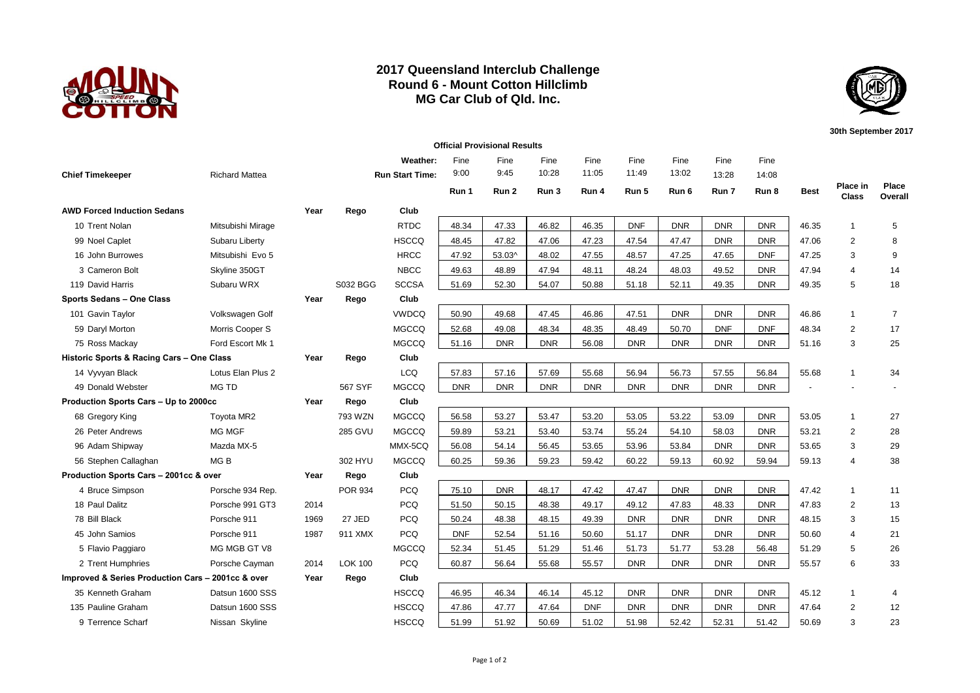

## **2017 Queensland Interclub Challenge Round 6 - Mount Cotton Hillclimb MG Car Club of Qld. Inc.**



**30th September 2017**

| <b>Official Provisional Results</b>               |                       |      |                |                        |            |            |            |            |            |            |            |            |                |                   |                  |
|---------------------------------------------------|-----------------------|------|----------------|------------------------|------------|------------|------------|------------|------------|------------|------------|------------|----------------|-------------------|------------------|
|                                                   |                       |      |                | Weather:               | Fine       | Fine       | Fine       | Fine       | Fine       | Fine       | Fine       | Fine       |                |                   |                  |
| <b>Chief Timekeeper</b>                           | <b>Richard Mattea</b> |      |                | <b>Run Start Time:</b> | 9:00       | 9:45       | 10:28      | 11:05      | 11:49      | 13:02      | 13:28      | 14:08      |                |                   |                  |
|                                                   |                       |      |                |                        | Run 1      | Run 2      | Run 3      | Run 4      | Run 5      | Run 6      | Run 7      | Run 8      | <b>Best</b>    | Place in<br>Class | Place<br>Overall |
| <b>AWD Forced Induction Sedans</b>                |                       | Year | Rego           | Club                   |            |            |            |            |            |            |            |            |                |                   |                  |
| 10 Trent Nolan                                    | Mitsubishi Mirage     |      |                | <b>RTDC</b>            | 48.34      | 47.33      | 46.82      | 46.35      | <b>DNF</b> | <b>DNR</b> | <b>DNR</b> | <b>DNR</b> | 46.35          | $\mathbf{1}$      | 5                |
| 99 Noel Caplet                                    | Subaru Liberty        |      |                | <b>HSCCQ</b>           | 48.45      | 47.82      | 47.06      | 47.23      | 47.54      | 47.47      | <b>DNR</b> | <b>DNR</b> | 47.06          | $\overline{2}$    | 8                |
| 16 John Burrowes                                  | Mitsubishi Evo 5      |      |                | <b>HRCC</b>            | 47.92      | 53.03^     | 48.02      | 47.55      | 48.57      | 47.25      | 47.65      | <b>DNF</b> | 47.25          | 3                 | 9                |
| 3 Cameron Bolt                                    | Skyline 350GT         |      |                | <b>NBCC</b>            | 49.63      | 48.89      | 47.94      | 48.11      | 48.24      | 48.03      | 49.52      | <b>DNR</b> | 47.94          | $\overline{4}$    | 14               |
| 119 David Harris                                  | Subaru WRX            |      | S032 BGG       | <b>SCCSA</b>           | 51.69      | 52.30      | 54.07      | 50.88      | 51.18      | 52.11      | 49.35      | <b>DNR</b> | 49.35          | 5                 | 18               |
| Sports Sedans - One Class                         |                       | Year | Rego           | Club                   |            |            |            |            |            |            |            |            |                |                   |                  |
| 101 Gavin Taylor                                  | Volkswagen Golf       |      |                | <b>VWDCQ</b>           | 50.90      | 49.68      | 47.45      | 46.86      | 47.51      | <b>DNR</b> | <b>DNR</b> | <b>DNR</b> | 46.86          | $\mathbf{1}$      | $\overline{7}$   |
| 59 Daryl Morton                                   | Morris Cooper S       |      |                | <b>MGCCQ</b>           | 52.68      | 49.08      | 48.34      | 48.35      | 48.49      | 50.70      | <b>DNF</b> | <b>DNF</b> | 48.34          | $\overline{2}$    | 17               |
| 75 Ross Mackay                                    | Ford Escort Mk 1      |      |                | <b>MGCCQ</b>           | 51.16      | <b>DNR</b> | <b>DNR</b> | 56.08      | <b>DNR</b> | <b>DNR</b> | <b>DNR</b> | <b>DNR</b> | 51.16          | 3                 | 25               |
| Historic Sports & Racing Cars - One Class         |                       | Year | Rego           | Club                   |            |            |            |            |            |            |            |            |                |                   |                  |
| 14 Vyvyan Black                                   | Lotus Elan Plus 2     |      |                | <b>LCQ</b>             | 57.83      | 57.16      | 57.69      | 55.68      | 56.94      | 56.73      | 57.55      | 56.84      | 55.68          | $\mathbf{1}$      | 34               |
| 49 Donald Webster                                 | MG TD                 |      | 567 SYF        | <b>MGCCQ</b>           | <b>DNR</b> | <b>DNR</b> | <b>DNR</b> | <b>DNR</b> | <b>DNR</b> | <b>DNR</b> | <b>DNR</b> | <b>DNR</b> | $\overline{a}$ |                   |                  |
| Production Sports Cars - Up to 2000cc             |                       | Year | Rego           | Club                   |            |            |            |            |            |            |            |            |                |                   |                  |
| 68 Gregory King                                   | Toyota MR2            |      | 793 WZN        | <b>MGCCQ</b>           | 56.58      | 53.27      | 53.47      | 53.20      | 53.05      | 53.22      | 53.09      | <b>DNR</b> | 53.05          | $\mathbf{1}$      | 27               |
| 26 Peter Andrews                                  | <b>MG MGF</b>         |      | <b>285 GVU</b> | <b>MGCCQ</b>           | 59.89      | 53.21      | 53.40      | 53.74      | 55.24      | 54.10      | 58.03      | <b>DNR</b> | 53.21          | 2                 | 28               |
| 96 Adam Shipway                                   | Mazda MX-5            |      |                | MMX-5CQ                | 56.08      | 54.14      | 56.45      | 53.65      | 53.96      | 53.84      | <b>DNR</b> | <b>DNR</b> | 53.65          | 3                 | 29               |
| 56 Stephen Callaghan                              | MG <sub>B</sub>       |      | 302 HYU        | <b>MGCCQ</b>           | 60.25      | 59.36      | 59.23      | 59.42      | 60.22      | 59.13      | 60.92      | 59.94      | 59.13          | $\overline{4}$    | 38               |
| Production Sports Cars - 2001cc & over            |                       | Year | Rego           | Club                   |            |            |            |            |            |            |            |            |                |                   |                  |
| 4 Bruce Simpson                                   | Porsche 934 Rep.      |      | <b>POR 934</b> | <b>PCQ</b>             | 75.10      | <b>DNR</b> | 48.17      | 47.42      | 47.47      | <b>DNR</b> | <b>DNR</b> | <b>DNR</b> | 47.42          | 1                 | 11               |
| 18 Paul Dalitz                                    | Porsche 991 GT3       | 2014 |                | <b>PCQ</b>             | 51.50      | 50.15      | 48.38      | 49.17      | 49.12      | 47.83      | 48.33      | <b>DNR</b> | 47.83          | $\mathbf{2}$      | 13               |
| 78 Bill Black                                     | Porsche 911           | 1969 | 27 JED         | <b>PCQ</b>             | 50.24      | 48.38      | 48.15      | 49.39      | <b>DNR</b> | <b>DNR</b> | <b>DNR</b> | <b>DNR</b> | 48.15          | 3                 | 15               |
| 45 John Samios                                    | Porsche 911           | 1987 | 911 XMX        | <b>PCQ</b>             | <b>DNF</b> | 52.54      | 51.16      | 50.60      | 51.17      | <b>DNR</b> | <b>DNR</b> | <b>DNR</b> | 50.60          | $\overline{4}$    | 21               |
| 5 Flavio Paggiaro                                 | MG MGB GT V8          |      |                | <b>MGCCQ</b>           | 52.34      | 51.45      | 51.29      | 51.46      | 51.73      | 51.77      | 53.28      | 56.48      | 51.29          | 5                 | 26               |
| 2 Trent Humphries                                 | Porsche Cayman        | 2014 | <b>LOK 100</b> | <b>PCQ</b>             | 60.87      | 56.64      | 55.68      | 55.57      | <b>DNR</b> | <b>DNR</b> | <b>DNR</b> | <b>DNR</b> | 55.57          | 6                 | 33               |
| Improved & Series Production Cars - 2001cc & over |                       | Year | Rego           | Club                   |            |            |            |            |            |            |            |            |                |                   |                  |
| 35 Kenneth Graham                                 | Datsun 1600 SSS       |      |                | <b>HSCCQ</b>           | 46.95      | 46.34      | 46.14      | 45.12      | <b>DNR</b> | <b>DNR</b> | <b>DNR</b> | <b>DNR</b> | 45.12          | $\mathbf{1}$      | 4                |
| 135 Pauline Graham                                | Datsun 1600 SSS       |      |                | <b>HSCCQ</b>           | 47.86      | 47.77      | 47.64      | <b>DNF</b> | <b>DNR</b> | <b>DNR</b> | <b>DNR</b> | <b>DNR</b> | 47.64          | 2                 | 12               |
| 9 Terrence Scharf                                 | Nissan Skyline        |      |                | <b>HSCCQ</b>           | 51.99      | 51.92      | 50.69      | 51.02      | 51.98      | 52.42      | 52.31      | 51.42      | 50.69          | 3                 | 23               |